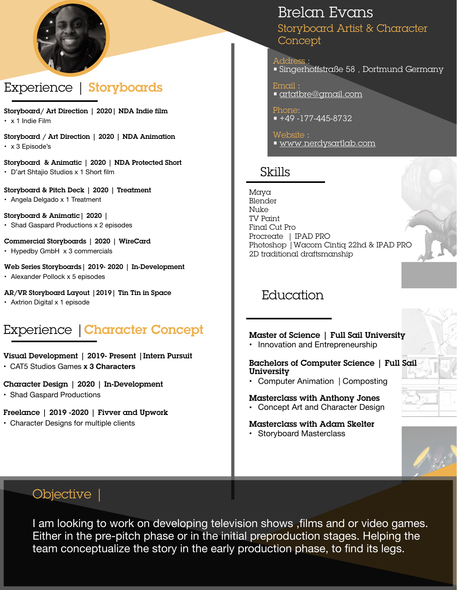

# Experience | Storyboards

Storyboard/ Art Direction | 2020| NDA Indie film • x 1 Indie Film

Storyboard / Art Direction | 2020 | NDA Animation • x 3 Episode's

Storyboard & Animatic | 2020 | NDA Protected Short • D'art Shtajio Studios x 1 Short film

Storyboard & Pitch Deck | 2020 | Treatment

• Angela Delgado x 1 Treatment

Storyboard & Animatic| 2020 |

• Shad Gaspard Productions x 2 episodes

#### Commercial Storyboards | 2020 | WireCard

• Hypedby GmbH x 3 commercials

#### Web Series Storyboards| 2019- 2020 | In-Development

• Alexander Pollock x 5 episodes

#### AR/VR Storyboard Layout |2019| Tin Tin in Space

• Axtrion Digital x 1 episode

# Experience | Character Concept

### Visual Development | 2019- Present |Intern Pursuit

• CAT5 Studios Games **x 3 Characters** 

### Character Design | 2020 | In-Development

• Shad Gaspard Productions

### Freelance | 2019 -2020 | Fivver and Upwork

• Character Designs for multiple clients

# Brelan Evans

Storyboard Artist & Character Concept

Address :<br>• Singerhoffstraße 58 , Dortmund Germany

Email : • [artatbre@gmail.com](mailto:artatbre@gmail.com)

Phone: • +49 -177-445-8732

Website :<br><u>• [www.nerdysartlab.com](http://www.nerdysartlab.com)</u>

# Skills

Maya Blender Nuke TV Paint Final Cut Pro Procreate | IPAD PRO Photoshop |Wacom Cintiq 22hd & IPAD PRO 2D traditional draftsmanship



## Master of Science | Full Sail University

• Innovation and Entrepreneurship

### Bachelors of Computer Science | Full Sail University

**•** Computer Animation | Composting

### Masterclass with Anthony Jones

**•** Concept Art and Character Design

### Masterclass with Adam Skelter

**•** Storyboard Masterclass



## Objective |

I am looking to work on developing television shows ,films and or video games. Either in the pre-pitch phase or in the initial preproduction stages. Helping the team conceptualize the story in the early production phase, to find its legs.